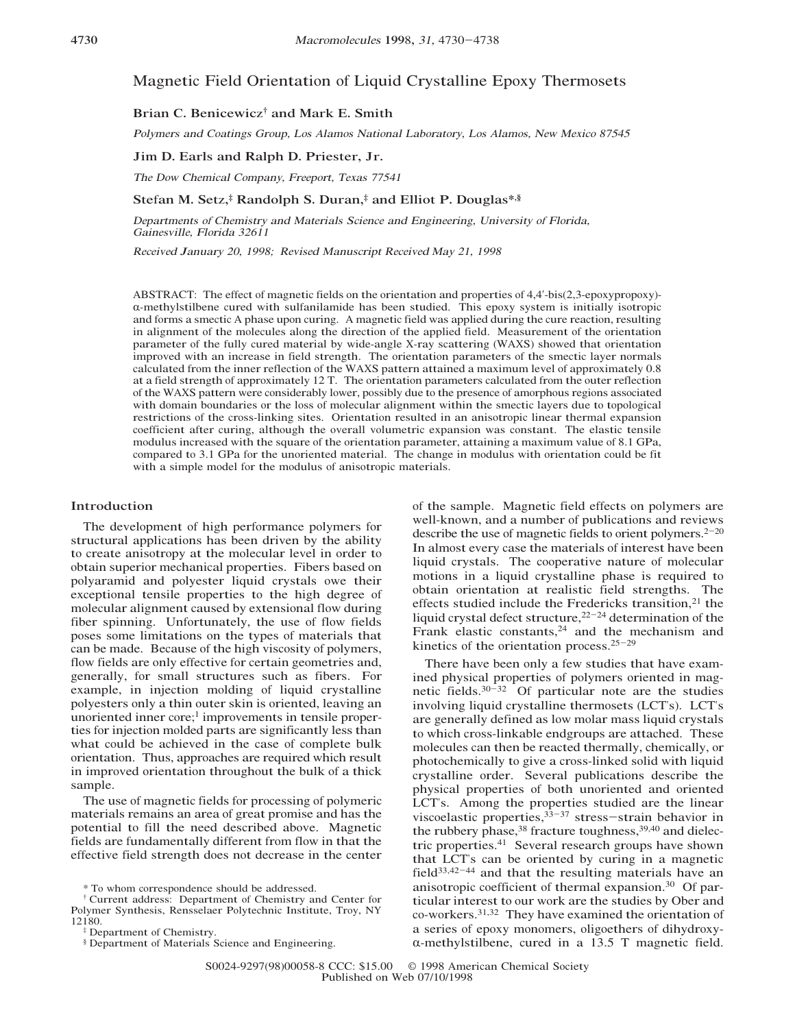# Magnetic Field Orientation of Liquid Crystalline Epoxy Thermosets

# Brian C. Benicewicz<sup>†</sup> and Mark E. Smith

Poly<sup>m</sup>ers <sup>a</sup>nd Coating<sup>s</sup> Group, Lo<sup>s</sup> Alamo<sup>s</sup> National Laborato<sup>r</sup>y, Lo<sup>s</sup> Alamos, N<sup>e</sup><sup>w</sup> Mexico 87545

#### Jim D. Earls and Ralph D. Priester, Jr.

Th<sup>e</sup> Do<sup>w</sup> Chemical Compa<sup>n</sup>y, Freeport, Texa<sup>s</sup> 77541

# Stefan M. Setz,<sup>‡</sup> Randolph S. Duran,<sup>‡</sup> and Elliot P. Douglas\*,§

Department<sup>s</sup> of Chemist<sup>r</sup>y <sup>a</sup>nd Materials Science <sup>a</sup>nd Engineering, Univ<sup>e</sup>rsity of Florida, Gainesvill<sup>e</sup>, Florid<sup>a</sup> 32611

Receiv<sup>e</sup>d Janua<sup>r</sup>y 20, 1998; Revised Manuscrip<sup>t</sup> Receiv<sup>e</sup>d May 21, 1998

ABSTRACT: The effect of magnetic fields on the orientation and properties of 4,4'-bis(2,3-epoxypropoxy)-R-methylstilbene cured with sulfanilamide has been studied. This epoxy system is initially isotropic and forms a smectic A phase upon curing. A magnetic field was applied during the cure reaction, resulting in alignment of the molecules along the direction of the applied field. Measurement of the orientation parameter of the fully cured material by wide-angle X-ray scattering (WAXS) showed that orientation improved with an increase in field strength. The orientation parameters of the smectic layer normals calculated from the inner reflection of the WAXS pattern attained a maximum level of approximately 0.8 at a field strength of approximately 12 T. The orientation parameters calculated from the outer reflection of the WAXS pattern were considerably lower, possibly due to the presence of amorphous regions associated with domain boundaries or the loss of molecular alignment within the smectic layers due to topological restrictions of the cross-linking sites. Orientation resulted in an anisotropic linear thermal expansion coefficient after curing, although the overall volumetric expansion was constant. The elastic tensile modulus increased with the square of the orientation parameter, attaining a maximum value of 8.1 GPa, compared to 3.1 GPa for the unoriented material. The change in modulus with orientation could be fit with a simple model for the modulus of anisotropic materials.

## Introduction

The development of high performance polymers for structural applications has been driven by the ability to create anisotropy at the molecular level in order to obtain superior mechanical properties. Fibers based on polyaramid and polyester liquid crystals owe their exceptional tensile properties to the high degree of molecular alignment caused by extensional flow during fiber spinning. Unfortunately, the use of flow fields poses some limitations on the types of materials that can be made. Because of the high viscosity of polymers, flow fields are only effective for certain geometries and, generally, for small structures such as fibers. For example, in injection molding of liquid crystalline polyesters only a thin outer skin is oriented, leaving an unoriented inner core; <sup>1</sup> improvements in tensile properties for injection molded parts are significantly less than what could be achieved in the case of complete bulk orientation. Thus, approaches are required which result in improved orientation throughout the bulk of a thick sample.

The use of magnetic fields for processing of polymeric materials remains an area of great promise and has the potential to fill the need described above. Magnetic fields are fundamentally different from flow in that the effective field strength does not decrease in the center

\* To whom correspondence should be addressed.

of the sample. Magnetic field effects on polymers are well-known, and a number of publications and reviews describe the use of magnetic fields to orient polymers. $2^{-20}$ In almost every case the materials of interest have been liquid crystals. The cooperative nature of molecular motions in a liquid crystalline phase is required to obtain orientation at realistic field strengths. The effects studied include the Fredericks transition, $21$  the liquid crystal defect structure, $22-24$  determination of the Frank elastic constants,<sup>24</sup> and the mechanism and kinetics of the orientation process.25-<sup>29</sup>

There have been only a few studies that have examined physical properties of polymers oriented in magnetic fields.30-<sup>32</sup> Of particular note are the studies involving liquid crystalline thermosets (LCT's). LCT's are generally defined as low molar mass liquid crystals to which cross-linkable endgroups are attached. These molecules can then be reacted thermally, chemically, or photochemically to give a cross-linked solid with liquid crystalline order. Several publications describe the physical properties of both unoriented and oriented LCT's. Among the properties studied are the linear viscoelastic properties,33-<sup>37</sup> stress-strain behavior in the rubbery phase,  $38$  fracture toughness,  $39,40$  and dielectric properties.41 Several research groups have shown that LCT's can be oriented by curing in a magnetic field $33,42-44$  and that the resulting materials have an anisotropic coefficient of thermal expansion.30 Of particular interest to our work are the studies by Ober and co-workers.31,32 They have examined the orientation of a series of epoxy monomers, oligoethers of dihydroxy-R-methylstilbene, cured in a 13.5 T magnetic field.

<sup>†</sup> Current address: Department of Chemistry and Center for Polymer Synthesis, Rensselaer Polytechnic Institute, Troy, NY 12180.

<sup>‡</sup> Department of Chemistry.

<sup>§</sup> Department of Materials Science and Engineering.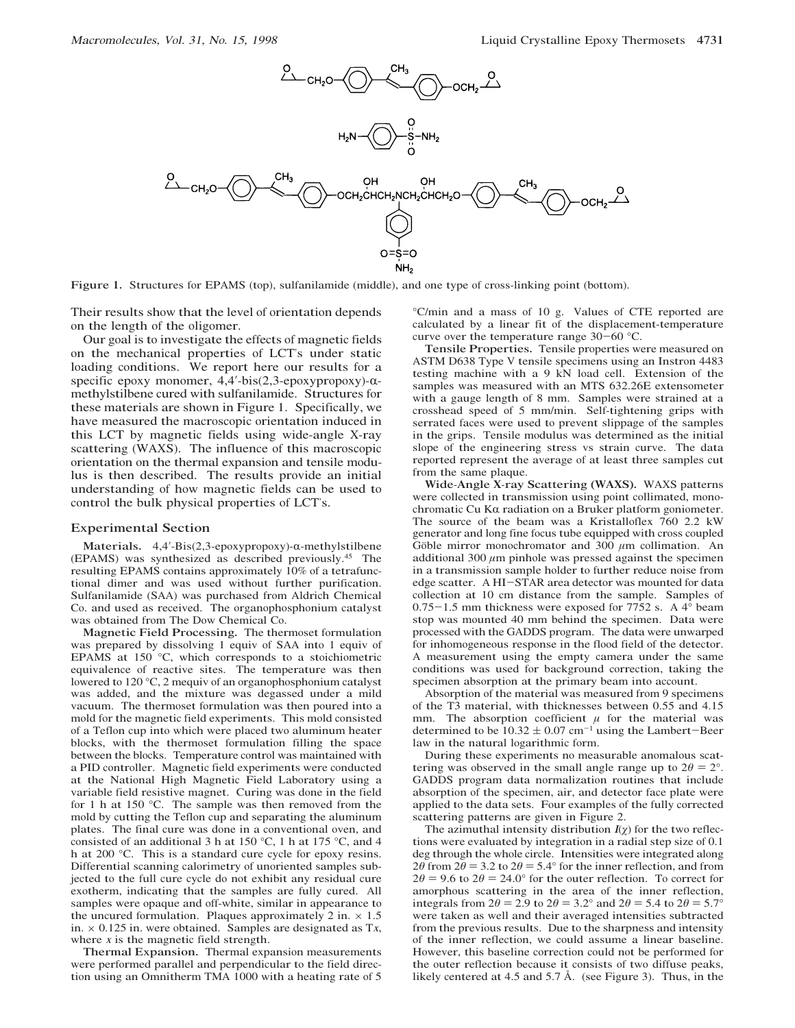

Figure 1. Structures for EPAMS (top), sulfanilamide (middle), and one type of cross-linking point (bottom).

Their results show that the level of orientation depends on the length of the oligomer.

Our goal is to investigate the effects of magnetic fields on the mechanical properties of LCT's under static loading conditions. We report here our results for a specific epoxy monomer,  $4,4'-bis(2,3-epoxypropoxy)-α$ methylstilbene cured with sulfanilamide. Structures for these materials are shown in Figure 1. Specifically, we have measured the macroscopic orientation induced in this LCT by magnetic fields using wide-angle X-ray scattering (WAXS). The influence of this macroscopic orientation on the thermal expansion and tensile modulus is then described. The results provide an initial understanding of how magnetic fields can be used to control the bulk physical properties of LCT's.

#### Experimental Section

Materials.  $4,4'-Bis(2,3-epoxypropoxy)-\alpha-methylstilbene$ (EPAMS) was synthesized as described previously.45 The resulting EPAMS contains approximately 10% of a tetrafunctional dimer and was used without further purification. Sulfanilamide (SAA) was purchased from Aldrich Chemical Co. and used as received. The organophosphonium catalyst was obtained from The Dow Chemical Co.

Magnetic Field Processing. The thermoset formulation was prepared by dissolving 1 equiv of SAA into 1 equiv of EPAMS at 150 °C, which corresponds to a stoichiometric equivalence of reactive sites. The temperature was then lowered to 120 °C, 2 mequiv of an organophosphonium catalyst was added, and the mixture was degassed under a mild vacuum. The thermoset formulation was then poured into a mold for the magnetic field experiments. This mold consisted of a Teflon cup into which were placed two aluminum heater blocks, with the thermoset formulation filling the space between the blocks. Temperature control was maintained with a PID controller. Magnetic field experiments were conducted at the National High Magnetic Field Laboratory using a variable field resistive magnet. Curing was done in the field for 1 h at 150 °C. The sample was then removed from the mold by cutting the Teflon cup and separating the aluminum plates. The final cure was done in a conventional oven, and consisted of an additional 3 h at 150 °C, 1 h at 175 °C, and 4 h at 200 °C. This is a standard cure cycle for epoxy resins. Differential scanning calorimetry of unoriented samples subjected to the full cure cycle do not exhibit any residual cure exotherm, indicating that the samples are fully cured. All samples were opaque and off-white, similar in appearance to the uncured formulation. Plaques approximately 2 in.  $\times$  1.5 in.  $\times$  0.125 in. were obtained. Samples are designated as Tx, where  $x$  is the magnetic field strength.

Thermal Expansion. Thermal expansion measurements were performed parallel and perpendicular to the field direction using an Omnitherm TMA 1000 with a heating rate of 5

°C/min and a mass of 10 g. Values of CTE reported are calculated by a linear fit of the displacement-temperature curve over the temperature range 30-60 °C.

Tensile Properties. Tensile properties were measured on ASTM D638 Type V tensile specimens using an Instron 4483 testing machine with a 9 kN load cell. Extension of the samples was measured with an MTS 632.26E extensometer with a gauge length of 8 mm. Samples were strained at a crosshead speed of 5 mm/min. Self-tightening grips with serrated faces were used to prevent slippage of the samples in the grips. Tensile modulus was determined as the initial slope of the engineering stress vs strain curve. The data reported represent the average of at least three samples cut from the same plaque.

Wide-Angle X-ray Scattering (WAXS). WAXS patterns were collected in transmission using point collimated, monochromatic Cu K $\alpha$  radiation on a Bruker platform goniometer. The source of the beam was a Kristalloflex 760 2.2 kW generator and long fine focus tube equipped with cross coupled Göble mirror monochromator and 300  $\mu$ m collimation. An additional 300  $\mu$ m pinhole was pressed against the specimen in a transmission sample holder to further reduce noise from edge scatter. A HI-STA<sup>R</sup> area detector was mounted for data collection at 10 cm distance from the sample. Samples of  $0.75-1.5$  mm thickness were exposed for 7752 s. A  $4^{\circ}$  beam stop was mounted 40 mm behind the specimen. Data were processed with the GADDS program. The data were unwarped for inhomogeneous response in the flood field of the detector. A measurement using the empty camera under the same conditions was used for background correction, taking the specimen absorption at the primary beam into account.

Absorption of the material was measured from 9 specimens of the T3 material, with thicknesses between 0.55 and 4.15 mm. The absorption coefficient  $\mu$  for the material was determined to be  $10.32 \pm 0.07$  cm<sup>-1</sup> using the Lambert-Beer law in the natural logarithmic form.

During these experiments no measurable anomalous scattering was observed in the small angle range up to  $2\theta = 2^{\circ}$ . GADDS program data normalization routines that include absorption of the specimen, air, and detector face plate were applied to the data sets. Four examples of the fully corrected scattering patterns are given in Figure 2.

The azimuthal intensity distribution  $I(\chi)$  for the two reflections were evaluated by integration in a radial step size of 0.1 deg through the whole circle. Intensities were integrated along  $2\theta$  from  $2\theta = 3.2$  to  $2\theta = 5.4^{\circ}$  for the inner reflection, and from  $2\theta = 9.6$  to  $2\theta = 24.0^{\circ}$  for the outer reflection. To correct for amorphous scattering in the area of the inner reflection, integrals from  $2\theta = 2.9$  to  $2\theta = 3.2^\circ$  and  $2\theta = 5.4$  to  $2\theta = 5.7^\circ$ were taken as well and their averaged intensities subtracted from the previous results. Due to the sharpness and intensity of the inner reflection, we could assume a linear baseline. However, this baseline correction could not be performed for the outer reflection because it consists of two diffuse peaks, likely centered at 4.5 and 5.7 Å. (see Figure 3). Thus, in the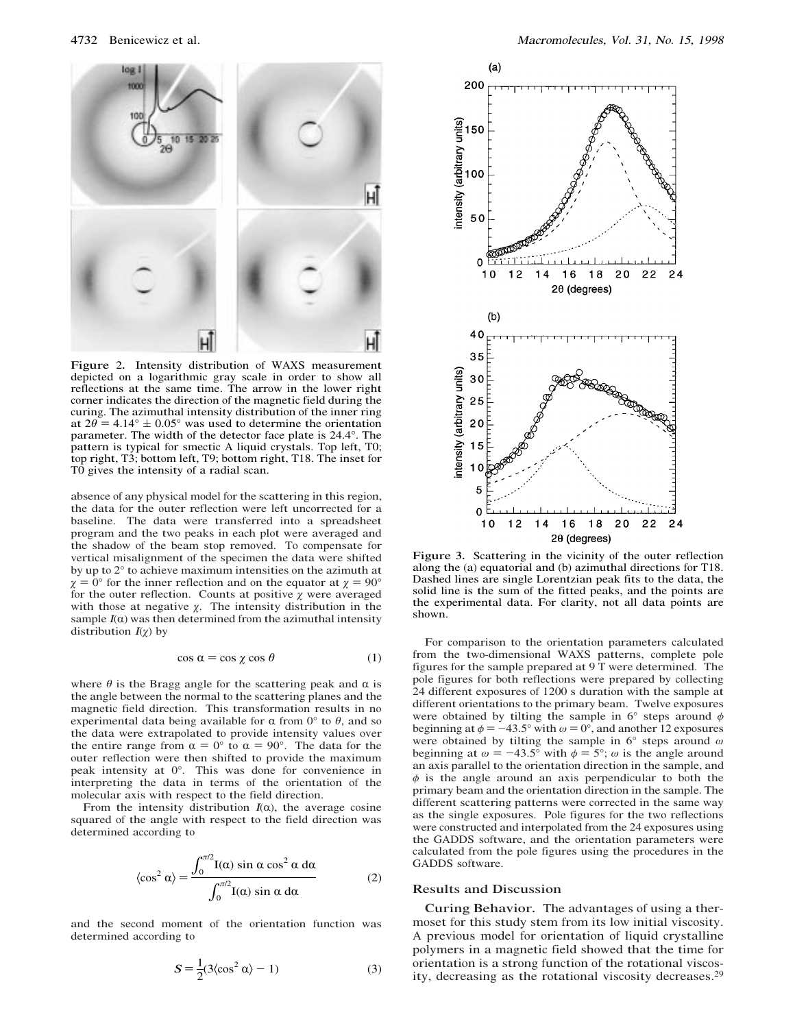

Figure 2. Intensity distribution of WAXS measurement depicted on a logarithmic gray scale in order to show all reflections at the same time. The arrow in the lower right corner indicates the direction of the magnetic field during the curing. The azimuthal intensity distribution of the inner ring at  $2\theta = 4.14^{\circ} \pm 0.05^{\circ}$  was used to determine the orientation parameter. The width of the detector face plate is 24.4°. The pattern is typical for smectic A liquid crystals. Top left, T0; top right, T3; bottom left, T9; bottom right, T18. The inset for T0 gives the intensity of a radial scan.

absence of any physical model for the scattering in this region, the data for the outer reflection were left uncorrected for a baseline. The data were transferred into a spreadsheet program and the two peaks in each plot were averaged and the shadow of the beam stop removed. To compensate for vertical misalignment of the specimen the data were shifted by up to 2° to achieve maximum intensities on the azimuth at  $\gamma = 0^{\circ}$  for the inner reflection and on the equator at  $\gamma = 90^{\circ}$ for the outer reflection. Counts at positive  $\chi$  were averaged with those at negative  $\chi$ . The intensity distribution in the sample  $I(\alpha)$  was then determined from the azimuthal intensity distribution  $I(\chi)$  by

$$
\cos \alpha = \cos \chi \cos \theta \tag{1}
$$

where  $\theta$  is the Bragg angle for the scattering peak and  $\alpha$  is the angle between the normal to the scattering planes and the magnetic field direction. This transformation results in no experimental data being available for  $\alpha$  from 0° to  $\theta$ , and so the data were extrapolated to provide intensity values over the entire range from  $\alpha = 0^{\circ}$  to  $\alpha = 90^{\circ}$ . The data for the outer reflection were then shifted to provide the maximum peak intensity at 0°. This was done for convenience in interpreting the data in terms of the orientation of the molecular axis with respect to the field direction.

From the intensity distribution  $I(\alpha)$ , the average cosine squared of the angle with respect to the field direction was determined according to

$$
\langle \cos^2 \alpha \rangle = \frac{\int_0^{\pi/2} I(\alpha) \sin \alpha \cos^2 \alpha \, d\alpha}{\int_0^{\pi/2} I(\alpha) \sin \alpha \, d\alpha}
$$
 (2)

and the second moment of the orientation function was determined according to



Figure 3. Scattering in the vicinity of the outer reflection along the (a) equatorial and (b) azimuthal directions for T18. Dashed lines are single Lorentzian peak fits to the data, the solid line is the sum of the fitted peaks, and the points are the experimental data. For clarity, not all data points are shown.

For comparison to the orientation parameters calculated from the two-dimensional WAXS patterns, complete pole figures for the sample prepared at 9 T were determined. The pole figures for both reflections were prepared by collecting 24 different exposures of 1200 s duration with the sample at different orientations to the primary beam. Twelve exposures were obtained by tilting the sample in  $6^\circ$  steps around  $\phi$ beginning at  $\phi = -43.5^{\circ}$  with  $\omega = 0^{\circ}$ , and another 12 exposures were obtained by tilting the sample in  $6^{\circ}$  steps around  $\omega$ beginning at  $\omega = -43.5^{\circ}$  with  $\phi = 5^{\circ}$ ;  $\omega$  is the angle around an axis parallel to the orientation direction in the sample, and  $\phi$  is the angle around an axis perpendicular to both the primary beam and the orientation direction in the sample. The different scattering patterns were corrected in the same way as the single exposures. Pole figures for the two reflections were constructed and interpolated from the 24 exposures using the GADDS software, and the orientation parameters were calculated from the pole figures using the procedures in the GADDS software.

# Results and Discussion

Curing Behavior. The advantages of using a thermoset for this study stem from its low initial viscosity. A previous model for orientation of liquid crystalline polymers in a magnetic field showed that the time for orientation is a strong function of the rotational viscosity, decreasing as the rotational viscosity decreases.29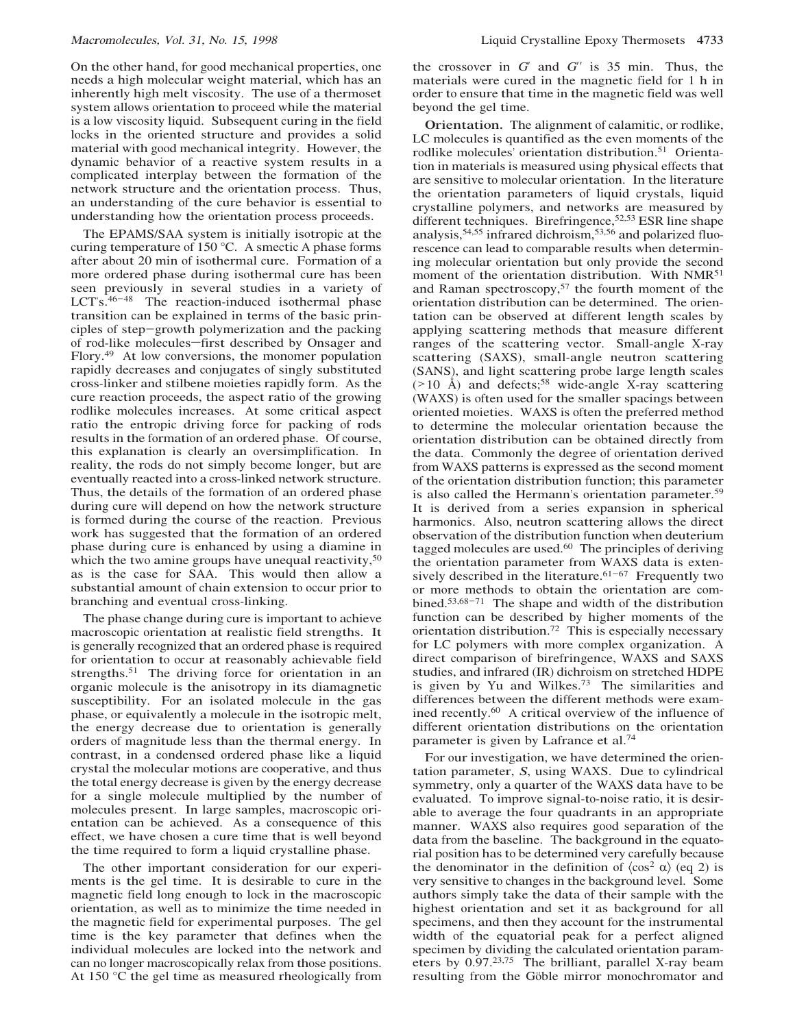On the other hand, for good mechanical properties, one needs a high molecular weight material, which has an inherently high melt viscosity. The use of a thermoset system allows orientation to proceed while the material is a low viscosity liquid. Subsequent curing in the field locks in the oriented structure and provides a solid material with good mechanical integrity. However, the dynamic behavior of a reactive system results in a complicated interplay between the formation of the network structure and the orientation process. Thus, an understanding of the cure behavior is essential to understanding how the orientation process proceeds.

The EPAMS/SAA system is initially isotropic at the curing temperature of 150 °C. A smectic A phase forms after about 20 min of isothermal cure. Formation of a more ordered phase during isothermal cure has been seen previously in several studies in a variety of  $LCT's$ .<sup>46-48</sup> The reaction-induced isothermal phase transition can be explained in terms of the basic principles of step-growth polymerization and the packing of rod-like molecules-first described by Onsager and Flory.49 At low conversions, the monomer population rapidly decreases and conjugates of singly substituted cross-linker and stilbene moieties rapidly form. As the cure reaction proceeds, the aspect ratio of the growing rodlike molecules increases. At some critical aspect ratio the entropic driving force for packing of rods results in the formation of an ordered phase. Of course, this explanation is clearly an oversimplification. In reality, the rods do not simply become longer, but are eventually reacted into a cross-linked network structure. Thus, the details of the formation of an ordered phase during cure will depend on how the network structure is formed during the course of the reaction. Previous work has suggested that the formation of an ordered phase during cure is enhanced by using a diamine in which the two amine groups have unequal reactivity, $50$ as is the case for SAA. This would then allow a substantial amount of chain extension to occur prior to branching and eventual cross-linking.

The phase change during cure is important to achieve macroscopic orientation at realistic field strengths. It is generally recognized that an ordered phase is required for orientation to occur at reasonably achievable field strengths.<sup>51</sup> The driving force for orientation in an organic molecule is the anisotropy in its diamagnetic susceptibility. For an isolated molecule in the gas phase, or equivalently a molecule in the isotropic melt, the energy decrease due to orientation is generally orders of magnitude less than the thermal energy. In contrast, in a condensed ordered phase like a liquid crystal the molecular motions are cooperative, and thus the total energy decrease is given by the energy decrease for a single molecule multiplied by the number of molecules present. In large samples, macroscopic orientation can be achieved. As a consequence of this effect, we have chosen a cure time that is well beyond the time required to form a liquid crystalline phase.

The other important consideration for our experiments is the gel time. It is desirable to cure in the magnetic field long enough to lock in the macroscopic orientation, as well as to minimize the time needed in the magnetic field for experimental purposes. The gel time is the key parameter that defines when the individual molecules are locked into the network and can no longer macroscopically relax from those positions. At 150 °C the gel time as measured rheologically from

the crossover in  $G'$  and  $G''$  is 35 min. Thus, the materials were cured in the magnetic field for 1 h in order to ensure that time in the magnetic field was well beyond the gel time.

Orientation. The alignment of calamitic, or rodlike, LC molecules is quantified as the even moments of the rodlike molecules' orientation distribution.<sup>51</sup> Orientation in materials is measured using physical effects that are sensitive to molecular orientation. In the literature the orientation parameters of liquid crystals, liquid crystalline polymers, and networks are measured by different techniques. Birefringence,<sup>52,53</sup> ESR line shape analysis,54,55 infrared dichroism,53,56 and polarized fluorescence can lead to comparable results when determining molecular orientation but only provide the second moment of the orientation distribution. With NMR<sup>51</sup> and Raman spectroscopy,<sup>57</sup> the fourth moment of the orientation distribution can be determined. The orientation can be observed at different length scales by applying scattering methods that measure different ranges of the scattering vector. Small-angle X-ray scattering (SAXS), small-angle neutron scattering (SANS), and light scattering probe large length scales  $(>10 \text{ Å})$  and defects;<sup>58</sup> wide-angle X-ray scattering (WAXS) is often used for the smaller spacings between oriented moieties. WAXS is often the preferred method to determine the molecular orientation because the orientation distribution can be obtained directly from the data. Commonly the degree of orientation derived from WAXS patterns is expressed as the second moment of the orientation distribution function; this parameter is also called the Hermann's orientation parameter.<sup>59</sup> It is derived from a series expansion in spherical harmonics. Also, neutron scattering allows the direct observation of the distribution function when deuterium tagged molecules are used.<sup>60</sup> The principles of deriving the orientation parameter from WAXS data is extensively described in the literature. $61-67$  Frequently two or more methods to obtain the orientation are combined.53,68-<sup>71</sup> The shape and width of the distribution function can be described by higher moments of the orientation distribution.72 This is especially necessary for LC polymers with more complex organization. A direct comparison of birefringence, WAXS and SAXS studies, and infrared (IR) dichroism on stretched HDPE is given by Yu and Wilkes. $73$  The similarities and differences between the different methods were examined recently.60 A critical overview of the influence of different orientation distributions on the orientation parameter is given by Lafrance et al.74

For our investigation, we have determined the orientation parameter, <sup>S</sup>, using WAXS. Due to cylindrical symmetry, only a quarter of the WAXS data have to be evaluated. To improve signal-to-noise ratio, it is desirable to average the four quadrants in an appropriate manner. WAXS also requires good separation of the data from the baseline. The background in the equatorial position has to be determined very carefully because the denominator in the definition of  $\langle \cos^2 \alpha \rangle$  (eq 2) is very sensitive to changes in the background level. Some authors simply take the data of their sample with the highest orientation and set it as background for all specimens, and then they account for the instrumental width of the equatorial peak for a perfect aligned specimen by dividing the calculated orientation parameters by  $0.97^{23,75}$  The brilliant, parallel X-ray beam resulting from the Göble mirror monochromator and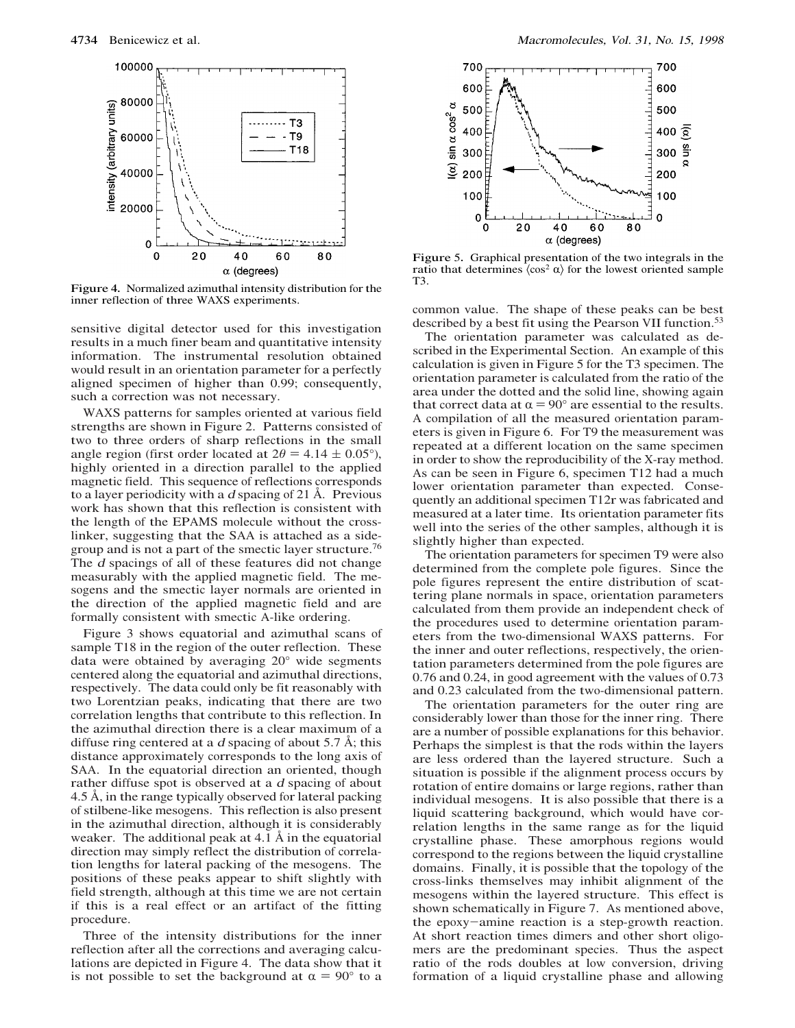

Figure 4. Normalized azimuthal intensity distribution for the inner reflection of three WAXS experiments.

sensitive digital detector used for this investigation results in a much finer beam and quantitative intensity information. The instrumental resolution obtained would result in an orientation parameter for a perfectly aligned specimen of higher than 0.99; consequently, such a correction was not necessary.

WAXS patterns for samples oriented at various field strengths are shown in Figure 2. Patterns consisted of two to three orders of sharp reflections in the small angle region (first order located at  $2\theta = 4.14 \pm 0.05^{\circ}$ ), highly oriented in a direction parallel to the applied magnetic field. This sequence of reflections corresponds to a layer periodicity with a <sup>d</sup> spacing of 21 Å. Previous work has shown that this reflection is consistent with the length of the EPAMS molecule without the crosslinker, suggesting that the SAA is attached as a sidegroup and is not a part of the smectic layer structure.<sup>76</sup> The  $d$  spacings of all of these features did not change measurably with the applied magnetic field. The mesogens and the smectic layer normals are oriented in the direction of the applied magnetic field and are formally consistent with smectic A-like ordering.

Figure 3 shows equatorial and azimuthal scans of sample T18 in the region of the outer reflection. These data were obtained by averaging 20° wide segments centered along the equatorial and azimuthal directions, respectively. The data could only be fit reasonably with two Lorentzian peaks, indicating that there are two correlation lengths that contribute to this reflection. In the azimuthal direction there is a clear maximum of a diffuse ring centered at a  $d$  spacing of about 5.7 Å; this distance approximately corresponds to the long axis of SAA. In the equatorial direction an oriented, though rather diffuse spot is observed at a <sup>d</sup> spacing of about 4.5 Å, in the range typically observed for lateral packing of stilbene-like mesogens. This reflection is also present in the azimuthal direction, although it is considerably weaker. The additional peak at 4.1 Å in the equatorial direction may simply reflect the distribution of correlation lengths for lateral packing of the mesogens. The positions of these peaks appear to shift slightly with field strength, although at this time we are not certain if this is a real effect or an artifact of the fitting procedure.

Three of the intensity distributions for the inner reflection after all the corrections and averaging calculations are depicted in Figure 4. The data show that it is not possible to set the background at  $\alpha = 90^{\circ}$  to a



Figure 5. Graphical presentation of the two integrals in the ratio that determines  $\langle \cos^2 \alpha \rangle$  for the lowest oriented sample T3.

common value. The shape of these peaks can be best described by a best fit using the Pearson VII function.<sup>53</sup>

The orientation parameter was calculated as described in the Experimental Section. An example of this calculation is given in Figure 5 for the T3 specimen. The orientation parameter is calculated from the ratio of the area under the dotted and the solid line, showing again that correct data at  $\alpha = 90^\circ$  are essential to the results. A compilation of all the measured orientation parameters is given in Figure 6. For T9 the measurement was repeated at a different location on the same specimen in order to show the reproducibility of the X-ray method. As can be seen in Figure 6, specimen T12 had a much lower orientation parameter than expected. Consequently an additional specimen T12r was fabricated and measured at a later time. Its orientation parameter fits well into the series of the other samples, although it is slightly higher than expected.

The orientation parameters for specimen T9 were also determined from the complete pole figures. Since the pole figures represent the entire distribution of scattering plane normals in space, orientation parameters calculated from them provide an independent check of the procedures used to determine orientation parameters from the two-dimensional WAXS patterns. For the inner and outer reflections, respectively, the orientation parameters determined from the pole figures are 0.76 and 0.24, in good agreement with the values of 0.73 and 0.23 calculated from the two-dimensional pattern.

The orientation parameters for the outer ring are considerably lower than those for the inner ring. There are a number of possible explanations for this behavior. Perhaps the simplest is that the rods within the layers are less ordered than the layered structure. Such a situation is possible if the alignment process occurs by rotation of entire domains or large regions, rather than individual mesogens. It is also possible that there is a liquid scattering background, which would have correlation lengths in the same range as for the liquid crystalline phase. These amorphous regions would correspond to the regions between the liquid crystalline domains. Finally, it is possible that the topology of the cross-links themselves may inhibit alignment of the mesogens within the layered structure. This effect is shown schematically in Figure 7. As mentioned above, the epoxy-amine reaction is a step-growth reaction. At short reaction times dimers and other short oligomers are the predominant species. Thus the aspect ratio of the rods doubles at low conversion, driving formation of a liquid crystalline phase and allowing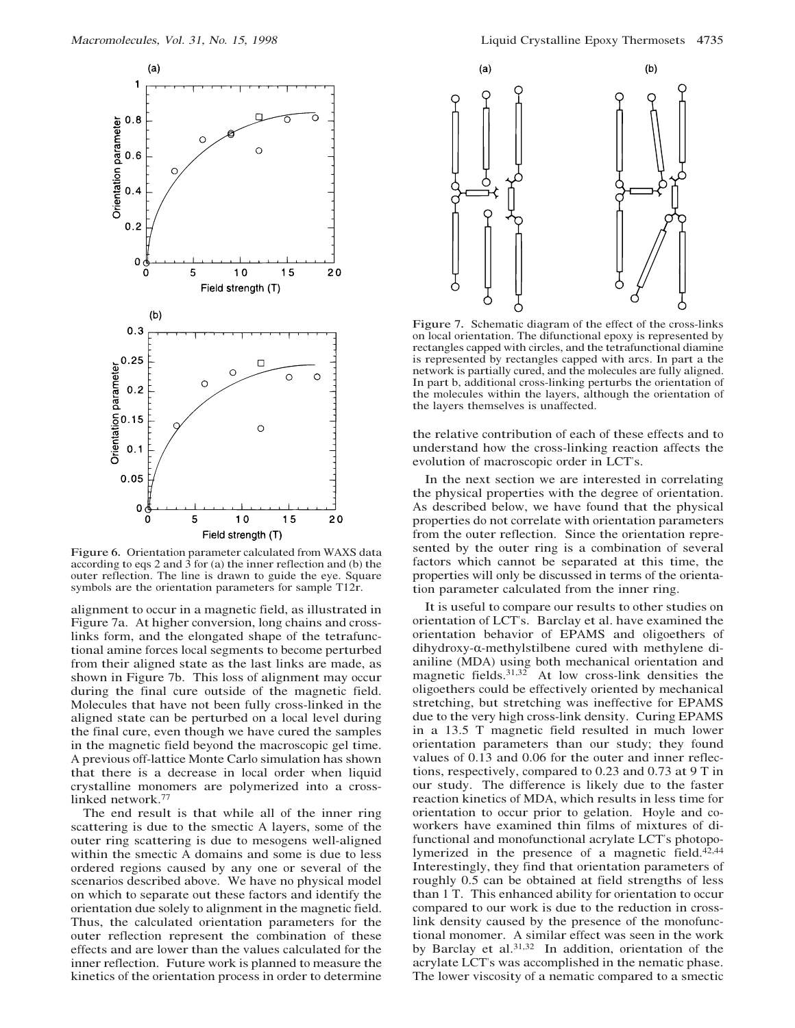

Figure 6. Orientation parameter calculated from WAXS data according to eqs 2 and 3 for (a) the inner reflection and (b) the outer reflection. The line is drawn to guide the eye. Square symbols are the orientation parameters for sample T12r.

alignment to occur in a magnetic field, as illustrated in Figure 7a. At higher conversion, long chains and crosslinks form, and the elongated shape of the tetrafunctional amine forces local segments to become perturbed from their aligned state as the last links are made, as shown in Figure 7b. This loss of alignment may occur during the final cure outside of the magnetic field. Molecules that have not been fully cross-linked in the aligned state can be perturbed on a local level during the final cure, even though we have cured the samples in the magnetic field beyond the macroscopic gel time. A previous off-lattice Monte Carlo simulation has shown that there is a decrease in local order when liquid crystalline monomers are polymerized into a crosslinked network.77

The end result is that while all of the inner ring scattering is due to the smectic A layers, some of the outer ring scattering is due to mesogens well-aligned within the smectic A domains and some is due to less ordered regions caused by any one or several of the scenarios described above. We have no physical model on which to separate out these factors and identify the orientation due solely to alignment in the magnetic field. Thus, the calculated orientation parameters for the outer reflection represent the combination of these effects and are lower than the values calculated for the inner reflection. Future work is planned to measure the kinetics of the orientation process in order to determine



Figure 7. Schematic diagram of the effect of the cross-links on local orientation. The difunctional epoxy is represented by rectangles capped with circles, and the tetrafunctional diamine is represented by rectangles capped with arcs. In part a the network is partially cured, and the molecules are fully aligned. In part b, additional cross-linking perturbs the orientation of the molecules within the layers, although the orientation of the layers themselves is unaffected.

the relative contribution of each of these effects and to understand how the cross-linking reaction affects the evolution of macroscopic order in LCT's.

In the next section we are interested in correlating the physical properties with the degree of orientation. As described below, we have found that the physical properties do not correlate with orientation parameters from the outer reflection. Since the orientation represented by the outer ring is a combination of several factors which cannot be separated at this time, the properties will only be discussed in terms of the orientation parameter calculated from the inner ring.

It is useful to compare our results to other studies on orientation of LCT's. Barclay et al. have examined the orientation behavior of EPAMS and oligoethers of dihydroxy- $\alpha$ -methylstilbene cured with methylene dianiline (MDA) using both mechanical orientation and magnetic fields.31,32 At low cross-link densities the oligoethers could be effectively oriented by mechanical stretching, but stretching was ineffective for EPAMS due to the very high cross-link density. Curing EPAMS in a 13.5 T magnetic field resulted in much lower orientation parameters than our study; they found values of 0.13 and 0.06 for the outer and inner reflections, respectively, compared to 0.23 and 0.73 at 9 T in our study. The difference is likely due to the faster reaction kinetics of MDA, which results in less time for orientation to occur prior to gelation. Hoyle and coworkers have examined thin films of mixtures of difunctional and monofunctional acrylate LCT's photopolymerized in the presence of a magnetic field. $42,44$ Interestingly, they find that orientation parameters of roughly 0.5 can be obtained at field strengths of less than 1 T. This enhanced ability for orientation to occur compared to our work is due to the reduction in crosslink density caused by the presence of the monofunctional monomer. A similar effect was seen in the work by Barclay et al.31,32 In addition, orientation of the acrylate LCT's was accomplished in the nematic phase. The lower viscosity of a nematic compared to a smectic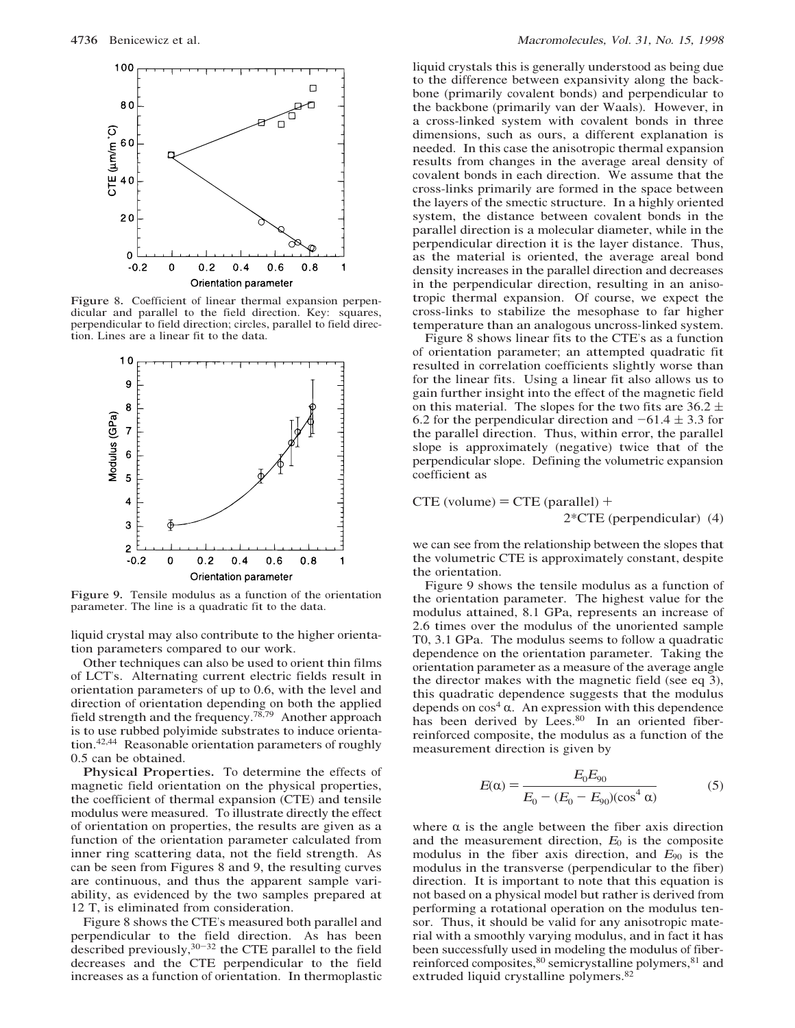

Figure 8. Coefficient of linear thermal expansion perpendicular and parallel to the field direction. Key: squares, perpendicular to field direction; circles, parallel to field direction. Lines are a linear fit to the data.



Figure 9. Tensile modulus as a function of the orientation parameter. The line is a quadratic fit to the data.

liquid crystal may also contribute to the higher orientation parameters compared to our work.

Other techniques can also be used to orient thin films of LCT's. Alternating current electric fields result in orientation parameters of up to 0.6, with the level and direction of orientation depending on both the applied field strength and the frequency.78,79 Another approach is to use rubbed polyimide substrates to induce orientation.42,44 Reasonable orientation parameters of roughly 0.5 can be obtained.

Physical Properties. To determine the effects of magnetic field orientation on the physical properties, the coefficient of thermal expansion (CTE) and tensile modulus were measured. To illustrate directly the effect of orientation on properties, the results are given as a function of the orientation parameter calculated from inner ring scattering data, not the field strength. As can be seen from Figures 8 and 9, the resulting curves are continuous, and thus the apparent sample variability, as evidenced by the two samples prepared at 12 T, is eliminated from consideration.

Figure 8 shows the CTE's measured both parallel and perpendicular to the field direction. As has been described previously,  $30-32$  the CTE parallel to the field decreases and the CTE perpendicular to the field increases as a function of orientation. In thermoplastic

liquid crystals this is generally understood as being due to the difference between expansivity along the backbone (primarily covalent bonds) and perpendicular to the backbone (primarily van der Waals). However, in a cross-linked system with covalent bonds in three dimensions, such as ours, a different explanation is needed. In this case the anisotropic thermal expansion results from changes in the average areal density of covalent bonds in each direction. We assume that the cross-links primarily are formed in the space between the layers of the smectic structure. In a highly oriented system, the distance between covalent bonds in the parallel direction is a molecular diameter, while in the perpendicular direction it is the layer distance. Thus, as the material is oriented, the average areal bond density increases in the parallel direction and decreases in the perpendicular direction, resulting in an anisotropic thermal expansion. Of course, we expect the cross-links to stabilize the mesophase to far higher temperature than an analogous uncross-linked system.

Figure 8 shows linear fits to the CTE's as a function of orientation parameter; an attempted quadratic fit resulted in correlation coefficients slightly worse than for the linear fits. Using a linear fit also allows us to gain further insight into the effect of the magnetic field on this material. The slopes for the two fits are  $36.2 \pm$ 6.2 for the perpendicular direction and  $-61.4 \pm 3.3$  for the parallel direction. Thus, within error, the parallel slope is approximately (negative) twice that of the perpendicular slope. Defining the volumetric expansion coefficient as

 $CTE$  (volume) =  $CTE$  (parallel) + 2\*CTE (perpendicular) (4)

we can see from the relationship between the slopes that the volumetric CTE is approximately constant, despite the orientation.

Figure 9 shows the tensile modulus as a function of the orientation parameter. The highest value for the modulus attained, 8.1 GPa, represents an increase of 2.6 times over the modulus of the unoriented sample T0, 3.1 GPa. The modulus seems to follow a quadratic dependence on the orientation parameter. Taking the orientation parameter as a measure of the average angle the director makes with the magnetic field (see eq 3), this quadratic dependence suggests that the modulus depends on  $\cos^4 \alpha$ . An expression with this dependence has been derived by Lees.<sup>80</sup> In an oriented fiberreinforced composite, the modulus as a function of the measurement direction is given by

$$
E(\alpha) = \frac{E_0 E_{90}}{E_0 - (E_0 - E_{90})(\cos^4 \alpha)}
$$
(5)

where  $\alpha$  is the angle between the fiber axis direction and the measurement direction,  $E_0$  is the composite modulus in the fiber axis direction, and  $E_{90}$  is the modulus in the transverse (perpendicular to the fiber) direction. It is important to note that this equation is not based on a physical model but rather is derived from performing a rotational operation on the modulus tensor. Thus, it should be valid for any anisotropic material with a smoothly varying modulus, and in fact it has been successfully used in modeling the modulus of fiberreinforced composites, <sup>80</sup> semicrystalline polymers, <sup>81</sup> and extruded liquid crystalline polymers.<sup>82</sup>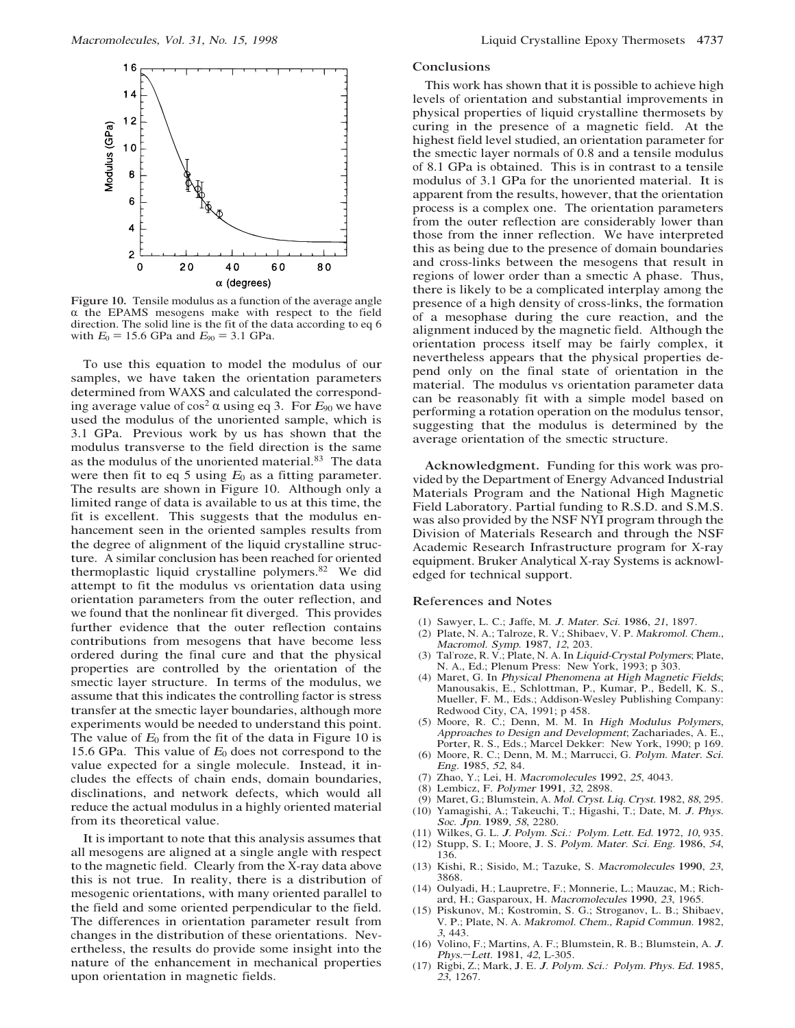

Figure 10. Tensile modulus as a function of the average angle  $\alpha$  the EPAMS mesogens make with respect to the field direction. The solid line is the fit of the data according to eq 6 with  $E_0 = 15.6$  GPa and  $E_{90} = 3.1$  GPa.

To use this equation to model the modulus of our samples, we have taken the orientation parameters determined from WAXS and calculated the corresponding average value of  $\cos^2 \alpha$  using eq 3. For  $E_{90}$  we have used the modulus of the unoriented sample, which is 3.1 GPa. Previous work by us has shown that the modulus transverse to the field direction is the same as the modulus of the unoriented material.<sup>83</sup> The data were then fit to eq 5 using  $E_0$  as a fitting parameter. The results are shown in Figure 10. Although only a limited range of data is available to us at this time, the fit is excellent. This suggests that the modulus enhancement seen in the oriented samples results from the degree of alignment of the liquid crystalline structure. A similar conclusion has been reached for oriented thermoplastic liquid crystalline polymers.82 We did attempt to fit the modulus vs orientation data using orientation parameters from the outer reflection, and we found that the nonlinear fit diverged. This provides further evidence that the outer reflection contains contributions from mesogens that have become less ordered during the final cure and that the physical properties are controlled by the orientation of the smectic layer structure. In terms of the modulus, we assume that this indicates the controlling factor is stress transfer at the smectic layer boundaries, although more experiments would be needed to understand this point. The value of  $E_0$  from the fit of the data in Figure 10 is 15.6 GPa. This value of  $E_0$  does not correspond to the value expected for a single molecule. Instead, it includes the effects of chain ends, domain boundaries, disclinations, and network defects, which would all reduce the actual modulus in a highly oriented material from its theoretical value.

It is important to note that this analysis assumes that all mesogens are aligned at a single angle with respect to the magnetic field. Clearly from the X-ray data above this is not true. In reality, there is a distribution of mesogenic orientations, with many oriented parallel to the field and some oriented perpendicular to the field. The differences in orientation parameter result from changes in the distribution of these orientations. Nevertheless, the results do provide some insight into the nature of the enhancement in mechanical properties upon orientation in magnetic fields.

### Conclusions

This work has shown that it is possible to achieve high levels of orientation and substantial improvements in physical properties of liquid crystalline thermosets by curing in the presence of a magnetic field. At the highest field level studied, an orientation parameter for the smectic layer normals of 0.8 and a tensile modulus of 8.1 GPa is obtained. This is in contrast to a tensile modulus of 3.1 GPa for the unoriented material. It is apparent from the results, however, that the orientation process is a complex one. The orientation parameters from the outer reflection are considerably lower than those from the inner reflection. We have interpreted this as being due to the presence of domain boundaries and cross-links between the mesogens that result in regions of lower order than a smectic A phase. Thus, there is likely to be a complicated interplay among the presence of a high density of cross-links, the formation of a mesophase during the cure reaction, and the alignment induced by the magnetic field. Although the orientation process itself may be fairly complex, it nevertheless appears that the physical properties depend only on the final state of orientation in the material. The modulus vs orientation parameter data can be reasonably fit with a simple model based on performing a rotation operation on the modulus tensor, suggesting that the modulus is determined by the average orientation of the smectic structure.

Acknowledgment. Funding for this work was provided by the Department of Energy Advanced Industrial Materials Program and the National High Magnetic Field Laboratory. Partial funding to R.S.D. and S.M.S. was also provided by the NSF NYI program through the Division of Materials Research and through the NSF Academic Research Infrastructure program for X-ray equipment. Bruker Analytical X-ray Systems is acknowledged for technical support.

## References and Notes

- (1) Sawyer, L. C.; Jaffe, M. J. Mater. <sup>S</sup>ci. 1986, <sup>21</sup>, 1897.
- (2) Plate, N. A.; Talroze, R. V.; Shibaev, V. P. Makromol. <sup>C</sup>hem., Macromol. <sup>S</sup>y<sup>m</sup>p. 1987, <sup>12</sup>, 203.
- (3) Tal'roze, R. V.; Plate, N. A. In <sup>L</sup>iquid-C<sup>r</sup>ysta<sup>l</sup> <sup>P</sup>oly<sup>m</sup>ers; Plate, N. A., Ed.; Plenum Press: New York, 1993; p 303.
- (4) Maret, G. In <sup>P</sup>hy<sup>s</sup>ica<sup>l</sup> <sup>P</sup>henomen<sup>a</sup> at <sup>H</sup>ig<sup>h</sup> Magneti<sup>c</sup> <sup>F</sup>ields; Manousakis, E., Schlottman, P., Kumar, P., Bedell, K. S., Mueller, F. M., Eds.; Addison-Wesley Publishing Company: Redwood City, CA, 1991; p 458.
- (5) <sup>M</sup>oore, R. C.; Denn, M. M. In <sup>H</sup>ig<sup>h</sup> <sup>M</sup>odulu<sup>s</sup> <sup>P</sup>oly<sup>m</sup>ers, <sup>A</sup>pproache<sup>s</sup> <sup>t</sup><sup>o</sup> <sup>D</sup>esig<sup>n</sup> <sup>a</sup>nd <sup>D</sup>ev<sup>e</sup>lopmen<sup>t</sup>; Zachariades, A. E., Porter, R. S., Eds.; Marcel Dekker: New York, 1990; p 169.
- (6) <sup>M</sup>oore, R. C.; Denn, M. M.; Marrucci, G. <sup>P</sup>olym. Mater. <sup>S</sup>ci. <sup>E</sup>ng. 1985, <sup>52</sup>, 84.
- (7) Zhao, Y.; Lei, H. Macromolecule<sup>s</sup> 1992, 25, 4043.
- (8) Lembicz, F. <sup>P</sup>oly<sup>m</sup>e<sup>r</sup> 1991, <sup>32</sup>, 2898.
- (9) Maret, G.; Blumstein, A. <sup>M</sup>ol. <sup>C</sup><sup>r</sup>yst. <sup>L</sup>iq. <sup>C</sup><sup>r</sup>yst. 1982, <sup>88</sup>, 295. (10) Yamagishi, A.; Takeuchi, T.; Higashi, T.; Date, M. J. <sup>P</sup>hys.
- <sup>S</sup>oc. <sup>J</sup>p<sup>n</sup>. 1989, <sup>58</sup>, 2280.
- (11) Wilkes, G. L. J. <sup>P</sup>olym. <sup>S</sup>ci.: <sup>P</sup>olym. <sup>L</sup>ett. <sup>E</sup>d. 1972, <sup>10</sup>, 935.
- (12) Stupp, S. I.; <sup>M</sup>oore, J. S. <sup>P</sup>olym. Mater. <sup>S</sup>ci. <sup>E</sup>ng. 1986, <sup>54</sup>, 136.
- (13) Kishi, R.; Sisido, M.; Tazuke, S. Macromolecule<sup>s</sup> 1990, <sup>23</sup>, 3868.
- (14) Oulyadi, H.; Laupretre, F.; Monnerie, L.; Mauzac, M.; Richard, H.; Gasparoux, H. Macromolecule<sup>s</sup> 1990, <sup>23</sup>, 1965.
- (15) Piskunov, M.; Kostromin, S. G.; Stroganov, L. B.; Shibaev, V. P.; Plate, N. A. Makromol. <sup>C</sup>hem., <sup>R</sup>api<sup>d</sup> <sup>C</sup>ommun. 1982, 3, 443.
- (16) Volino, F.; Martins, A. F.; Blumstein, R. B.; Blumstein, A. J. Phys.-Lett. 1981, 42, L-305.
- (17) Rigbi, Z.; Mark, J. E. J. <sup>P</sup>olym. <sup>S</sup>ci.: <sup>P</sup>olym. <sup>P</sup>hys. <sup>E</sup>d. 1985, 23, 1267.